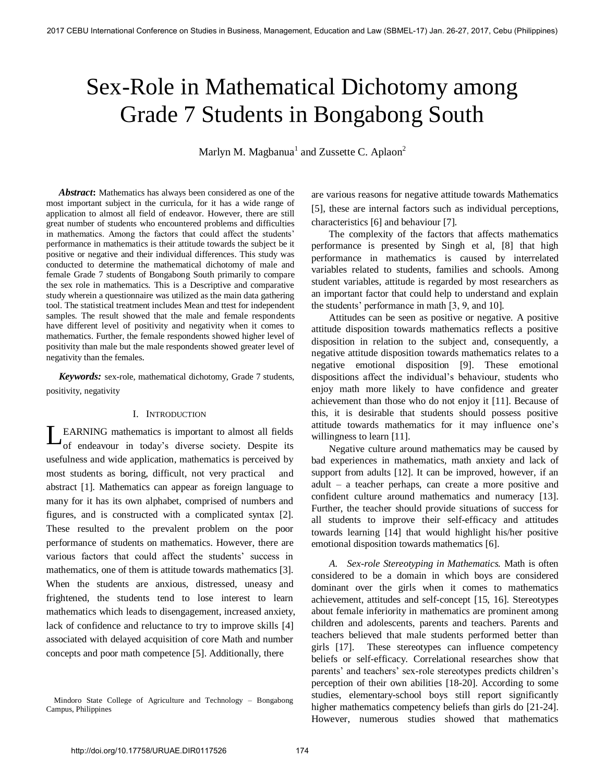# Sex-Role in Mathematical Dichotomy among Grade 7 Students in Bongabong South

Marlyn M. Magbanua<sup>1</sup> and Zussette C. Aplaon<sup>2</sup>

 *Abstract***:** Mathematics has always been considered as one of the most important subject in the curricula, for it has a wide range of application to almost all field of endeavor. However, there are still great number of students who encountered problems and difficulties in mathematics. Among the factors that could affect the students' performance in mathematics is their attitude towards the subject be it positive or negative and their individual differences. This study was conducted to determine the mathematical dichotomy of male and female Grade 7 students of Bongabong South primarily to compare the sex role in mathematics. This is a Descriptive and comparative study wherein a questionnaire was utilized as the main data gathering tool. The statistical treatment includes Mean and ttest for independent samples. The result showed that the male and female respondents have different level of positivity and negativity when it comes to mathematics. Further, the female respondents showed higher level of positivity than male but the male respondents showed greater level of negativity than the females*.* 

 *Keywords:* sex-role, mathematical dichotomy, Grade 7 students, positivity, negativity

#### I. INTRODUCTION

EARNING mathematics is important to almost all fields **LEARNING** mathematics is important to almost all fields of endeavour in today's diverse society. Despite its usefulness and wide application, mathematics is perceived by most students as boring, difficult, not very practical and abstract [1]. Mathematics can appear as foreign language to many for it has its own alphabet, comprised of numbers and figures, and is constructed with a complicated syntax [2]. These resulted to the prevalent problem on the poor performance of students on mathematics. However, there are various factors that could affect the students' success in mathematics, one of them is attitude towards mathematics [3]. When the students are anxious, distressed, uneasy and frightened, the students tend to lose interest to learn mathematics which leads to disengagement, increased anxiety, lack of confidence and reluctance to try to improve skills [4] associated with delayed acquisition of core Math and number concepts and poor math competence [5]. Additionally, there

are various reasons for negative attitude towards Mathematics [5], these are internal factors such as individual perceptions, characteristics [6] and behaviour [7].

The complexity of the factors that affects mathematics performance is presented by Singh et al, [8] that high performance in mathematics is caused by interrelated variables related to students, families and schools. Among student variables, attitude is regarded by most researchers as an important factor that could help to understand and explain the students' performance in math [3, 9, and 10].

Attitudes can be seen as positive or negative. A positive attitude disposition towards mathematics reflects a positive disposition in relation to the subject and, consequently, a negative attitude disposition towards mathematics relates to a negative emotional disposition [9]. These emotional dispositions affect the individual's behaviour, students who enjoy math more likely to have confidence and greater achievement than those who do not enjoy it [11]. Because of this, it is desirable that students should possess positive attitude towards mathematics for it may influence one's willingness to learn [11].

Negative culture around mathematics may be caused by bad experiences in mathematics, math anxiety and lack of support from adults [12]. It can be improved, however, if an adult – a teacher perhaps, can create a more positive and confident culture around mathematics and numeracy [13]. Further, the teacher should provide situations of success for all students to improve their self-efficacy and attitudes towards learning [14] that would highlight his/her positive emotional disposition towards mathematics [6].

*A. Sex-role Stereotyping in Mathematics.* Math is often considered to be a domain in which boys are considered dominant over the girls when it comes to mathematics achievement, attitudes and self-concept [15, 16]. Stereotypes about female inferiority in mathematics are prominent among children and adolescents, parents and teachers. Parents and teachers believed that male students performed better than girls [17]. These stereotypes can influence competency beliefs or self-efficacy. Correlational researches show that parents' and teachers' sex-role stereotypes predicts children's perception of their own abilities [18-20]. According to some studies, elementary-school boys still report significantly higher mathematics competency beliefs than girls do [21-24]. However, numerous studies showed that mathematics

Mindoro State College of Agriculture and Technology – Bongabong Campus, Philippines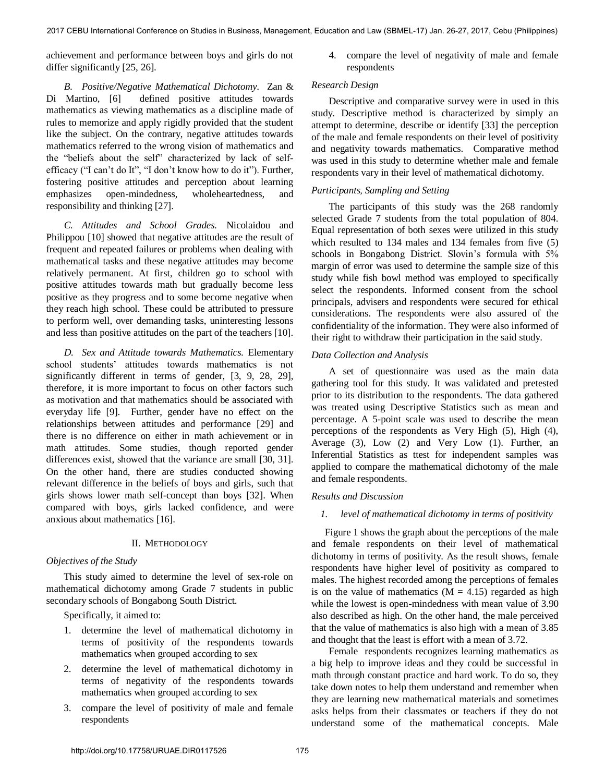achievement and performance between boys and girls do not differ significantly [25, 26].

*B. Positive/Negative Mathematical Dichotomy.* Zan & Di Martino, [6] defined positive attitudes towards mathematics as viewing mathematics as a discipline made of rules to memorize and apply rigidly provided that the student like the subject. On the contrary, negative attitudes towards mathematics referred to the wrong vision of mathematics and the "beliefs about the self" characterized by lack of selfefficacy ("I can't do It", "I don't know how to do it"). Further, fostering positive attitudes and perception about learning emphasizes open-mindedness, wholeheartedness, and responsibility and thinking [27].

*C. Attitudes and School Grades.* Nicolaidou and Philippou [10] showed that negative attitudes are the result of frequent and repeated failures or problems when dealing with mathematical tasks and these negative attitudes may become relatively permanent. At first, children go to school with positive attitudes towards math but gradually become less positive as they progress and to some become negative when they reach high school. These could be attributed to pressure to perform well, over demanding tasks, uninteresting lessons and less than positive attitudes on the part of the teachers [10].

*D. Sex and Attitude towards Mathematics.* Elementary school students' attitudes towards mathematics is not significantly different in terms of gender, [3, 9, 28, 29], therefore, it is more important to focus on other factors such as motivation and that mathematics should be associated with everyday life [9]. Further, gender have no effect on the relationships between attitudes and performance [29] and there is no difference on either in math achievement or in math attitudes. Some studies, though reported gender differences exist, showed that the variance are small [30, 31]. On the other hand, there are studies conducted showing relevant difference in the beliefs of boys and girls, such that girls shows lower math self-concept than boys [32]. When compared with boys, girls lacked confidence, and were anxious about mathematics [16].

## II. METHODOLOGY

## *Objectives of the Study*

This study aimed to determine the level of sex-role on mathematical dichotomy among Grade 7 students in public secondary schools of Bongabong South District.

Specifically, it aimed to:

- 1. determine the level of mathematical dichotomy in terms of positivity of the respondents towards mathematics when grouped according to sex
- 2. determine the level of mathematical dichotomy in terms of negativity of the respondents towards mathematics when grouped according to sex
- 3. compare the level of positivity of male and female respondents

4. compare the level of negativity of male and female respondents

#### *Research Design*

Descriptive and comparative survey were in used in this study. Descriptive method is characterized by simply an attempt to determine, describe or identify [33] the perception of the male and female respondents on their level of positivity and negativity towards mathematics. Comparative method was used in this study to determine whether male and female respondents vary in their level of mathematical dichotomy.

## *Participants*, *Sampling and Setting*

The participants of this study was the 268 randomly selected Grade 7 students from the total population of 804. Equal representation of both sexes were utilized in this study which resulted to 134 males and 134 females from five (5) schools in Bongabong District. Slovin's formula with 5% margin of error was used to determine the sample size of this study while fish bowl method was employed to specifically select the respondents. Informed consent from the school principals, advisers and respondents were secured for ethical considerations. The respondents were also assured of the confidentiality of the information. They were also informed of their right to withdraw their participation in the said study.

#### *Data Collection and Analysis*

A set of questionnaire was used as the main data gathering tool for this study. It was validated and pretested prior to its distribution to the respondents. The data gathered was treated using Descriptive Statistics such as mean and percentage. A 5-point scale was used to describe the mean perceptions of the respondents as Very High (5), High (4), Average (3), Low (2) and Very Low (1). Further, an Inferential Statistics as ttest for independent samples was applied to compare the mathematical dichotomy of the male and female respondents.

#### *Results and Discussion*

#### *1. level of mathematical dichotomy in terms of positivity*

 Figure 1 shows the graph about the perceptions of the male and female respondents on their level of mathematical dichotomy in terms of positivity. As the result shows, female respondents have higher level of positivity as compared to males. The highest recorded among the perceptions of females is on the value of mathematics  $(M = 4.15)$  regarded as high while the lowest is open-mindedness with mean value of 3.90 also described as high. On the other hand, the male perceived that the value of mathematics is also high with a mean of 3.85 and thought that the least is effort with a mean of 3.72.

 Female respondents recognizes learning mathematics as a big help to improve ideas and they could be successful in math through constant practice and hard work. To do so, they take down notes to help them understand and remember when they are learning new mathematical materials and sometimes asks helps from their classmates or teachers if they do not understand some of the mathematical concepts. Male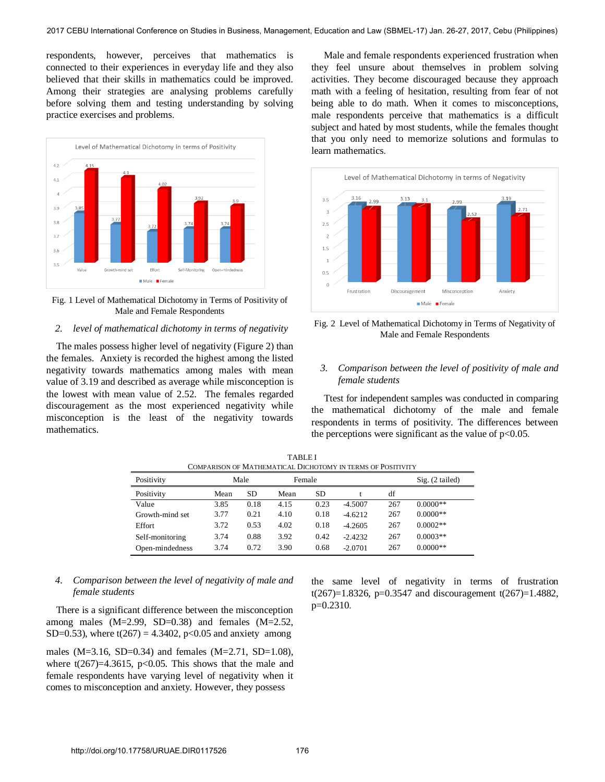respondents, however, perceives that mathematics is connected to their experiences in everyday life and they also believed that their skills in mathematics could be improved. Among their strategies are analysing problems carefully before solving them and testing understanding by solving practice exercises and problems.



Fig. 1 Level of Mathematical Dichotomy in Terms of Positivity of Male and Female Respondents

#### *2. level of mathematical dichotomy in terms of negativity*

 The males possess higher level of negativity (Figure 2) than the females. Anxiety is recorded the highest among the listed negativity towards mathematics among males with mean value of 3.19 and described as average while misconception is the lowest with mean value of 2.52. The females regarded discouragement as the most experienced negativity while misconception is the least of the negativity towards mathematics.

 Male and female respondents experienced frustration when they feel unsure about themselves in problem solving activities. They become discouraged because they approach math with a feeling of hesitation, resulting from fear of not being able to do math. When it comes to misconceptions, male respondents perceive that mathematics is a difficult subject and hated by most students, while the females thought that you only need to memorize solutions and formulas to learn mathematics.



Fig. 2 Level of Mathematical Dichotomy in Terms of Negativity of Male and Female Respondents

# *3. Comparison between the level of positivity of male and female students*

 Ttest for independent samples was conducted in comparing the mathematical dichotomy of the male and female respondents in terms of positivity. The differences between the perceptions were significant as the value of  $p<0.05$ .

| COMPARISON OF MATHEMATICAL DICHOTOMY IN TERMS OF POSITIVITY |      |      |        |      |           |     |                   |  |  |  |  |
|-------------------------------------------------------------|------|------|--------|------|-----------|-----|-------------------|--|--|--|--|
| Positivity                                                  | Male |      | Female |      |           |     | $Sig. (2-tailed)$ |  |  |  |  |
| Positivity                                                  | Mean | SD   | Mean   | SD   |           | df  |                   |  |  |  |  |
| Value                                                       | 3.85 | 0.18 | 4.15   | 0.23 | $-4.5007$ | 267 | $0.0000**$        |  |  |  |  |
| Growth-mind set                                             | 3.77 | 0.21 | 4.10   | 0.18 | $-4.6212$ | 267 | $0.0000**$        |  |  |  |  |
| Effort                                                      | 3.72 | 0.53 | 4.02   | 0.18 | $-4.2605$ | 267 | $0.0002**$        |  |  |  |  |
| Self-monitoring                                             | 3.74 | 0.88 | 3.92   | 0.42 | $-2.4232$ | 267 | $0.0003**$        |  |  |  |  |
| Open-mindedness                                             | 3.74 | 0.72 | 3.90   | 0.68 | $-2.0701$ | 267 | $0.0000**$        |  |  |  |  |

TABLE I COMPARISON OF MATHEMATICAL DICHOTOMY IN TERMS OF POSITIVITY

# *4. Comparison between the level of negativity of male and female students*

 There is a significant difference between the misconception among males  $(M=2.99, SD=0.38)$  and females  $(M=2.52,$ SD=0.53), where  $t(267) = 4.3402$ , p<0.05 and anxiety among

males (M=3.16, SD=0.34) and females (M=2.71, SD=1.08), where  $t(267)=4.3615$ ,  $p<0.05$ . This shows that the male and female respondents have varying level of negativity when it comes to misconception and anxiety. However, they possess

the same level of negativity in terms of frustration t(267)=1.8326, p=0.3547 and discouragement t(267)=1.4882, p=0.2310.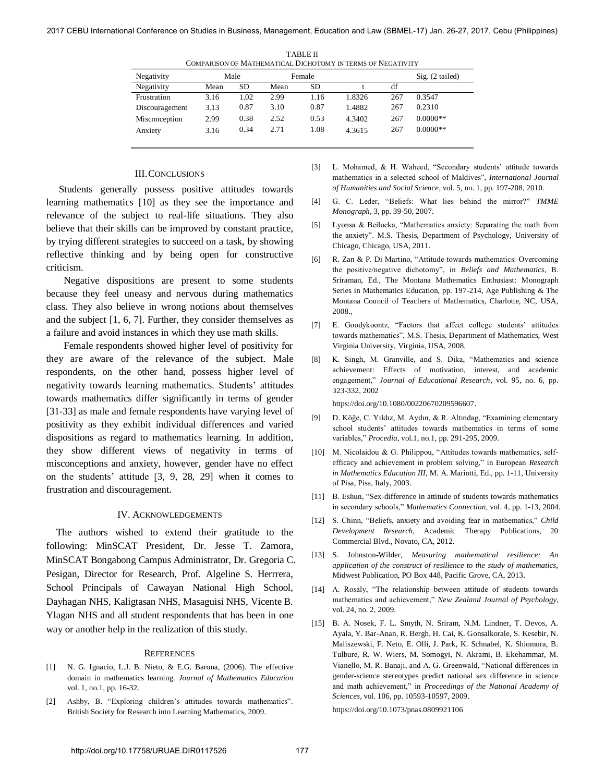| Negativity     | Male |      | Female |      |        |     | $Sig. (2-tailed)$ |
|----------------|------|------|--------|------|--------|-----|-------------------|
| Negativity     | Mean | SD   | Mean   | SD   |        | df  |                   |
| Frustration    | 3.16 | 1.02 | 2.99   | 1.16 | 1.8326 | 267 | 0.3547            |
| Discouragement | 3.13 | 0.87 | 3.10   | 0.87 | 1.4882 | 267 | 0.2310            |
| Misconception  | 2.99 | 0.38 | 2.52   | 0.53 | 4.3402 | 267 | $0.0000**$        |
| Anxiety        | 3.16 | 0.34 | 2.71   | 1.08 | 4.3615 | 267 | $0.0000**$        |

TABLE II COMPARISON OF MATHEMATICAL DICHOTOMY IN TERMS OF NEGATIVITY

#### III.CONCLUSIONS

 Students generally possess positive attitudes towards learning mathematics [10] as they see the importance and relevance of the subject to real-life situations. They also believe that their skills can be improved by constant practice, by trying different strategies to succeed on a task, by showing reflective thinking and by being open for constructive criticism.

Negative dispositions are present to some students because they feel uneasy and nervous during mathematics class. They also believe in wrong notions about themselves and the subject [1, 6, 7]. Further, they consider themselves as a failure and avoid instances in which they use math skills.

Female respondents showed higher level of positivity for they are aware of the relevance of the subject. Male respondents, on the other hand, possess higher level of negativity towards learning mathematics. Students' attitudes towards mathematics differ significantly in terms of gender [31-33] as male and female respondents have varying level of positivity as they exhibit individual differences and varied dispositions as regard to mathematics learning. In addition, they show different views of negativity in terms of misconceptions and anxiety, however, gender have no effect on the students' attitude [3, 9, 28, 29] when it comes to frustration and discouragement.

#### IV. ACKNOWLEDGEMENTS

 The authors wished to extend their gratitude to the following: MinSCAT President, Dr. Jesse T. Zamora, MinSCAT Bongabong Campus Administrator, Dr. Gregoria C. Pesigan, Director for Research, Prof. Algeline S. Herrrera, School Principals of Cawayan National High School, Dayhagan NHS, Kaligtasan NHS, Masaguisi NHS, Vicente B. Ylagan NHS and all student respondents that has been in one way or another help in the realization of this study.

#### **REFERENCES**

- [1] N. G. Ignacio, L.J. B. Nieto, & E.G. Barona, (2006). The effective domain in mathematics learning. *Journal of Mathematics Education* vol. 1, no.1, pp. 16-32.
- [2] Ashby, B. "Exploring children's attitudes towards mathematics". British Society for Research into Learning Mathematics, 2009.

[3] L. Mohamed, & H. Waheed, "Secondary students' attitude towards mathematics in a selected school of Maldives", *International Journal of Humanities and Social Science*, vol. 5, no. 1, pp. 197-208, 2010.

- [4] G. C. Leder, "Beliefs: What lies behind the mirror?" *TMME Monograph*, 3, pp. 39-50, 2007.
- [5] Lyonsa & Beilocka, "Mathematics anxiety: Separating the math from the anxiety". M.S. Thesis, Department of Psychology, University of Chicago, Chicago, USA, 2011.
- [6] R. Zan & P. Di Martino, "Attitude towards mathematics: Overcoming the positive/negative dichotomy", in *Beliefs and Mathematics*, B. Sriraman, Ed., The Montana Mathematics Enthusiast: Monograph Series in Mathematics Education, pp. 197-214, Age Publishing & The Montana Council of Teachers of Mathematics, Charlotte, NC, USA, 2008.,
- [7] E. Goodykoontz, "Factors that affect college students' attitudes towards mathematics", M.S. Thesis, Department of Mathematics, West Virginia University, Virginia, USA, 2008.
- [8] [K. Singh, M. Granville, and S. Dika, "Mathematics and science](https://doi.org/10.1080/00220670209596607)  [achievement: Effects of motivation, interest, and academic](https://doi.org/10.1080/00220670209596607)  engagement," *[Journal of Educational Research](https://doi.org/10.1080/00220670209596607)*, vol. 95, no. 6, pp. [323-332, 2002](https://doi.org/10.1080/00220670209596607)

[https://doi.org/10.1080/00220670209596607.](https://doi.org/10.1080/00220670209596607)

- [9] D. Kӧğe, C. Yıldız, M. Aydın, & R. Altındag, "Examining elementary school students' attitudes towards mathematics in terms of some variables," *Procedia*, vol.1, no.1, pp. 291-295, 2009.
- [10] M. Nicolaidou & G. Philippou, "Attitudes towards mathematics, selfefficacy and achievement in problem solving," in European *Research in Mathematics Education III*, M. A. Mariotti, Ed., pp. 1-11, University of Pisa, Pisa, Italy, 2003.
- [11] B. Eshun, "Sex-difference in attitude of students towards mathematics in secondary schools," *Mathematics Connection*, vol. 4, pp. 1-13, 2004.
- [12] S. Chinn, "Beliefs, anxiety and avoiding fear in mathematics," *Child Development Research*, Academic Therapy Publications, 20 Commercial Blvd., Novato, CA, 2012.
- [13] S. Johnston-Wilder, *Measuring mathematical resilience: An application of the construct of resilience to the study of mathematics,* Midwest Publication, PO Box 448, Pacific Grove, CA, 2013.
- [14] A. Rosaly, "The relationship between attitude of students towards mathematics and achievement," *New Zealand Journal of Psychology*, vol. 24, no. 2, 2009.
- [15] [B. A. Nosek, F. L. Smyth, N. Sriram, N.M. Lindner, T. Devos, A.](https://doi.org/10.1073/pnas.0809921106)  [Ayala, Y. Bar-Anan, R. Bergh, H. Cai, K. Gonsalkorale, S. Kesebir, N.](https://doi.org/10.1073/pnas.0809921106)  [Maliszewski, F. Neto, E. Olli, J. Park, K. Schnabel, K. Shiomura, B.](https://doi.org/10.1073/pnas.0809921106)  [Tulbure, R. W. Wiers, M. Somogyi, N. Akrami, B. Ekehammar, M.](https://doi.org/10.1073/pnas.0809921106)  [Vianello, M. R. Banaji, and A. G. Greenwald, "National differences in](https://doi.org/10.1073/pnas.0809921106)  [gender-science stereotypes predict national sex difference in science](https://doi.org/10.1073/pnas.0809921106)  and math achievement," in *[Proceedings of the National Academy of](https://doi.org/10.1073/pnas.0809921106)  Sciences*[, vol. 106, pp. 10593-10597, 2009.](https://doi.org/10.1073/pnas.0809921106)

<https://doi.org/10.1073/pnas.0809921106>